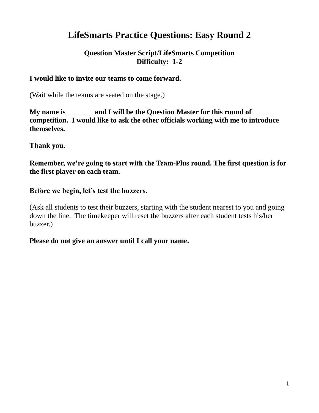# **LifeSmarts Practice Questions: Easy Round 2**

# **Question Master Script/LifeSmarts Competition Difficulty: 1-2**

## **I would like to invite our teams to come forward.**

(Wait while the teams are seated on the stage.)

**My name is and I will be the Question Master for this round of competition. I would like to ask the other officials working with me to introduce themselves.**

#### **Thank you.**

**Remember, we're going to start with the Team-Plus round. The first question is for the first player on each team.**

#### **Before we begin, let's test the buzzers.**

(Ask all students to test their buzzers, starting with the student nearest to you and going down the line. The timekeeper will reset the buzzers after each student tests his/her buzzer.)

## **Please do not give an answer until I call your name.**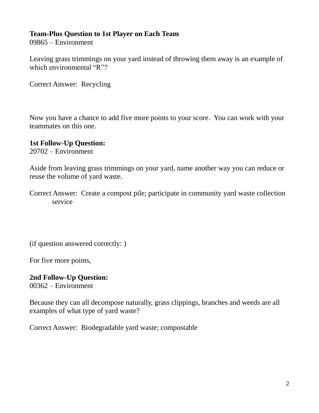# **Team-Plus Question to 1st Player on Each Team**

09865 – Environment

Leaving grass trimmings on your yard instead of throwing them away is an example of which environmental "R"?

Correct Answer: Recycling

Now you have a chance to add five more points to your score. You can work with your teammates on this one.

## **1st Follow-Up Question:**

20702 – Environment

Aside from leaving grass trimmings on your yard, name another way you can reduce or reuse the volume of yard waste.

Correct Answer: Create a compost pile; participate in community yard waste collection service

(if question answered correctly: )

For five more points,

#### **2nd Follow-Up Question:** 00362 – Environment

Because they can all decompose naturally, grass clippings, branches and weeds are all examples of what type of yard waste?

Correct Answer: Biodegradable yard waste; compostable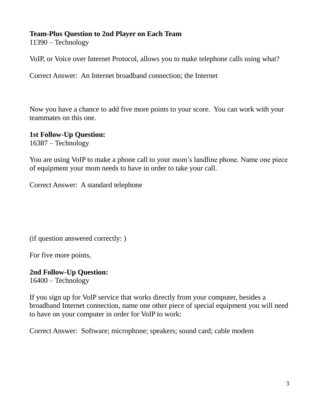# **Team-Plus Question to 2nd Player on Each Team**

11390 – Technology

VoIP, or Voice over Internet Protocol, allows you to make telephone calls using what?

Correct Answer: An Internet broadband connection; the Internet

Now you have a chance to add five more points to your score. You can work with your teammates on this one.

## **1st Follow-Up Question:**

16387 – Technology

You are using VoIP to make a phone call to your mom's landline phone. Name one piece of equipment your mom needs to have in order to take your call.

Correct Answer: A standard telephone

(if question answered correctly: )

For five more points,

**2nd Follow-Up Question:** 16400 – Technology

If you sign up for VoIP service that works directly from your computer, besides a broadband Internet connection, name one other piece of special equipment you will need to have on your computer in order for VoIP to work:

Correct Answer: Software; microphone; speakers; sound card; cable modem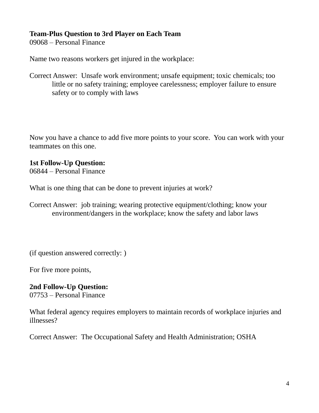# **Team-Plus Question to 3rd Player on Each Team**

09068 – Personal Finance

Name two reasons workers get injured in the workplace:

Correct Answer: Unsafe work environment; unsafe equipment; toxic chemicals; too little or no safety training; employee carelessness; employer failure to ensure safety or to comply with laws

Now you have a chance to add five more points to your score. You can work with your teammates on this one.

# **1st Follow-Up Question:**

06844 – Personal Finance

What is one thing that can be done to prevent injuries at work?

Correct Answer: job training; wearing protective equipment/clothing; know your environment/dangers in the workplace; know the safety and labor laws

(if question answered correctly: )

For five more points,

# **2nd Follow-Up Question:**

07753 – Personal Finance

What federal agency requires employers to maintain records of workplace injuries and illnesses?

Correct Answer: The Occupational Safety and Health Administration; OSHA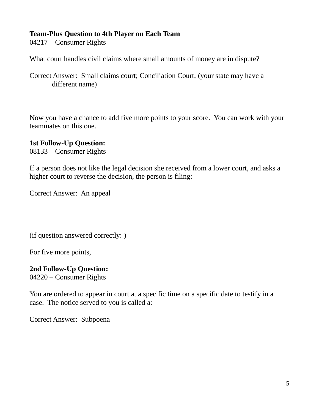# **Team-Plus Question to 4th Player on Each Team**

04217 – Consumer Rights

What court handles civil claims where small amounts of money are in dispute?

Correct Answer: Small claims court; Conciliation Court; (your state may have a different name)

Now you have a chance to add five more points to your score. You can work with your teammates on this one.

# **1st Follow-Up Question:**

08133 – Consumer Rights

If a person does not like the legal decision she received from a lower court, and asks a higher court to reverse the decision, the person is filing:

Correct Answer: An appeal

(if question answered correctly: )

For five more points,

# **2nd Follow-Up Question:**

04220 – Consumer Rights

You are ordered to appear in court at a specific time on a specific date to testify in a case. The notice served to you is called a:

Correct Answer: Subpoena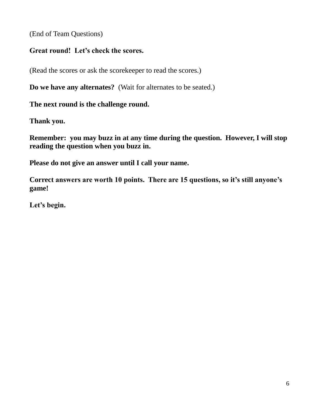(End of Team Questions)

# **Great round! Let's check the scores.**

(Read the scores or ask the scorekeeper to read the scores.)

**Do we have any alternates?** (Wait for alternates to be seated.)

**The next round is the challenge round.** 

**Thank you.**

**Remember: you may buzz in at any time during the question. However, I will stop reading the question when you buzz in.**

**Please do not give an answer until I call your name.** 

**Correct answers are worth 10 points. There are 15 questions, so it's still anyone's game!**

**Let's begin.**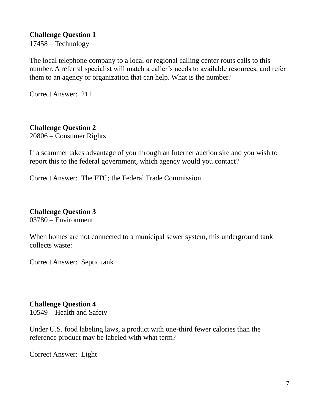17458 – Technology

The local telephone company to a local or regional calling center routs calls to this number. A referral specialist will match a caller's needs to available resources, and refer them to an agency or organization that can help. What is the number?

Correct Answer: 211

## **Challenge Question 2**

20806 – Consumer Rights

If a scammer takes advantage of you through an Internet auction site and you wish to report this to the federal government, which agency would you contact?

Correct Answer: The FTC; the Federal Trade Commission

#### **Challenge Question 3**

03780 – Environment

When homes are not connected to a municipal sewer system, this underground tank collects waste:

Correct Answer: Septic tank

#### **Challenge Question 4**

10549 – Health and Safety

Under U.S. food labeling laws, a product with one-third fewer calories than the reference product may be labeled with what term?

Correct Answer: Light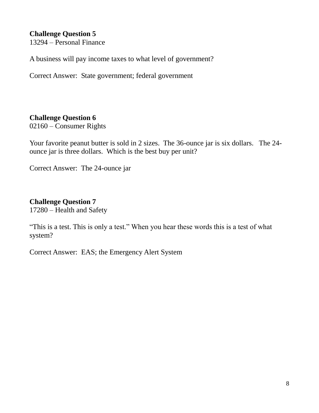13294 – Personal Finance

A business will pay income taxes to what level of government?

Correct Answer: State government; federal government

# **Challenge Question 6**

02160 – Consumer Rights

Your favorite peanut butter is sold in 2 sizes. The 36-ounce jar is six dollars. The 24 ounce jar is three dollars. Which is the best buy per unit?

Correct Answer: The 24-ounce jar

# **Challenge Question 7**

17280 – Health and Safety

"This is a test. This is only a test." When you hear these words this is a test of what system?

Correct Answer: EAS; the Emergency Alert System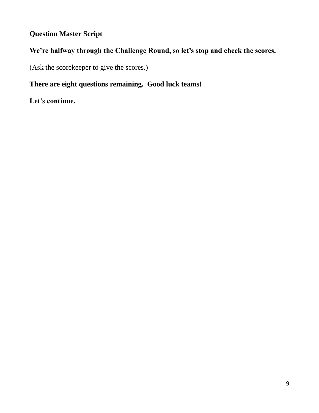# **Question Master Script**

# **We're halfway through the Challenge Round, so let's stop and check the scores.**

(Ask the scorekeeper to give the scores.)

# **There are eight questions remaining. Good luck teams!**

**Let's continue.**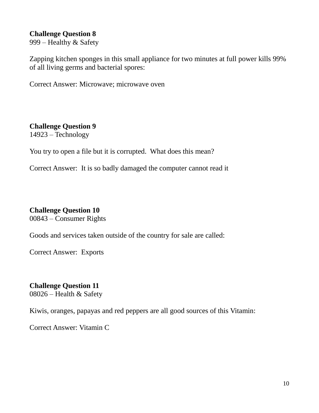999 – Healthy & Safety

Zapping kitchen sponges in this small appliance for two minutes at full power kills 99% of all living germs and bacterial spores:

Correct Answer: Microwave; microwave oven

# **Challenge Question 9**

14923 – Technology

You try to open a file but it is corrupted. What does this mean?

Correct Answer: It is so badly damaged the computer cannot read it

## **Challenge Question 10**

00843 – Consumer Rights

Goods and services taken outside of the country for sale are called:

Correct Answer: Exports

# **Challenge Question 11**

08026 – Health & Safety

Kiwis, oranges, papayas and red peppers are all good sources of this Vitamin:

Correct Answer: Vitamin C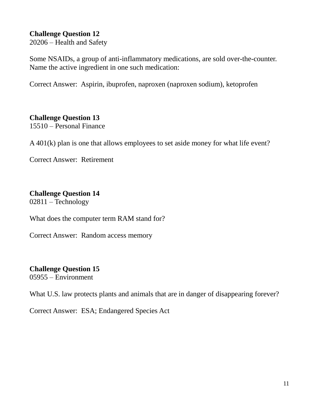20206 – Health and Safety

Some NSAIDs, a group of anti-inflammatory medications, are sold over-the-counter. Name the active ingredient in one such medication:

Correct Answer: Aspirin, ibuprofen, naproxen (naproxen sodium), ketoprofen

# **Challenge Question 13**

15510 – Personal Finance

A 401(k) plan is one that allows employees to set aside money for what life event?

Correct Answer: Retirement

# **Challenge Question 14**

02811 – Technology

What does the computer term RAM stand for?

Correct Answer: Random access memory

# **Challenge Question 15**

05955 – Environment

What U.S. law protects plants and animals that are in danger of disappearing forever?

Correct Answer: ESA; Endangered Species Act